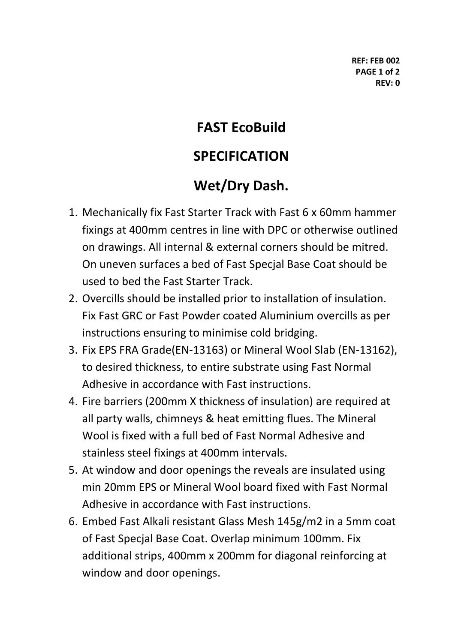## **FAST EcoBuild SPECIFICATION Wet/Dry Dash.**

- 1. Mechanically fix Fast Starter Track with Fast 6 x 60mm hammer fixings at 400mm centres in line with DPC or otherwise outlined on drawings. All internal & external corners should be mitred. On uneven surfaces a bed of Fast Specjal Base Coat should be used to bed the Fast Starter Track.
- 2. Overcills should be installed prior to installation of insulation. Fix Fast GRC or Fast Powder coated Aluminium overcills as per instructions ensuring to minimise cold bridging.
- 3. Fix EPS FRA Grade(EN-13163) or Mineral Wool Slab (EN-13162), to desired thickness, to entire substrate using Fast Normal Adhesive in accordance with Fast instructions.
- 4. Fire barriers (200mm X thickness of insulation) are required at all party walls, chimneys & heat emitting flues. The Mineral Wool is fixed with a full bed of Fast Normal Adhesive and stainless steel fixings at 400mm intervals.
- 5. At window and door openings the reveals are insulated using min 20mm EPS or Mineral Wool board fixed with Fast Normal Adhesive in accordance with Fast instructions.
- 6. Embed Fast Alkali resistant Glass Mesh 145g/m2 in a 5mm coat of Fast Specjal Base Coat. Overlap minimum 100mm. Fix additional strips, 400mm x 200mm for diagonal reinforcing at window and door openings.